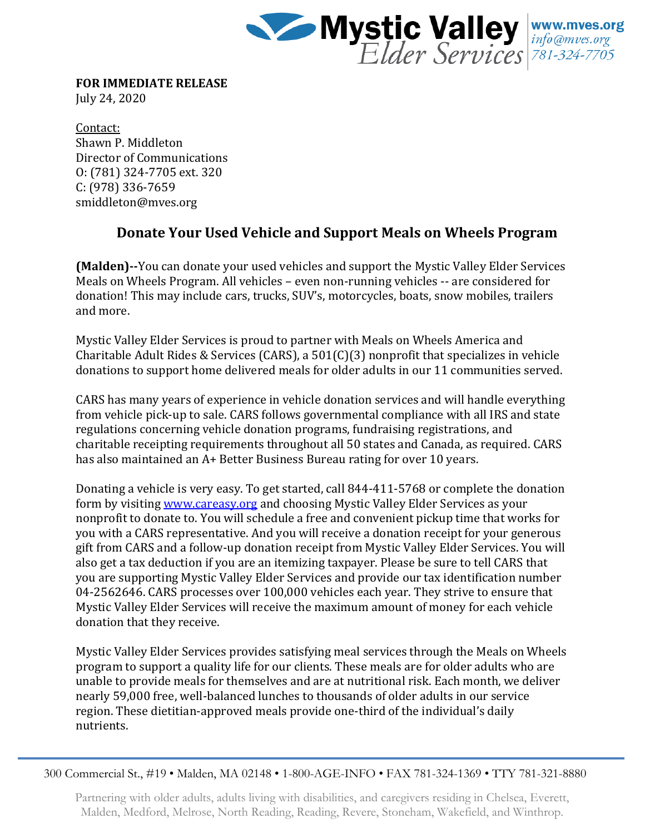

**FOR IMMEDIATE RELEASE** July 24, 2020

Contact: Shawn P. Middleton Director of Communications O: (781) 324-7705 ext. 320 C: (978) 336-7659 smiddleton@mves.org

## **Donate Your Used Vehicle and Support Meals on Wheels Program**

**(Malden)--**You can donate your used vehicles and support the Mystic Valley Elder Services Meals on Wheels Program. All vehicles – even non-running vehicles -- are considered for donation! This may include cars, trucks, SUV's, motorcycles, boats, snow mobiles, trailers and more.

Mystic Valley Elder Services is proud to partner with Meals on Wheels America and Charitable Adult Rides & Services (CARS), a 501(C)(3) nonprofit that specializes in vehicle donations to support home delivered meals for older adults in our 11 communities served.

CARS has many years of experience in vehicle donation services and will handle everything from vehicle pick-up to sale. CARS follows governmental compliance with all IRS and state regulations concerning vehicle donation programs, fundraising registrations, and charitable receipting requirements throughout all 50 states and Canada, as required. CARS has also maintained an A+ Better Business Bureau rating for over 10 years.

Donating a vehicle is very easy. To get started, call 844-411-5768 or complete the donation form by visiting [www.careasy.org](http://www.careasy.org/) and choosing Mystic Valley Elder Services as your nonprofit to donate to. You will schedule a free and convenient pickup time that works for you with a CARS representative. And you will receive a donation receipt for your generous gift from CARS and a follow-up donation receipt from Mystic Valley Elder Services. You will also get a tax deduction if you are an itemizing taxpayer. Please be sure to tell CARS that you are supporting Mystic Valley Elder Services and provide our tax identification number 04-2562646. CARS processes over 100,000 vehicles each year. They strive to ensure that Mystic Valley Elder Services will receive the maximum amount of money for each vehicle donation that they receive.

Mystic Valley Elder Services provides satisfying meal services through the Meals on Wheels program to support a quality life for our clients. These meals are for older adults who are unable to provide meals for themselves and are at nutritional risk. Each month, we deliver nearly 59,000 free, well-balanced lunches to thousands of older adults in our service region. These dietitian-approved meals provide one-third of the individual's daily nutrients.

300 Commercial St., #19 • Malden, MA 02148 • 1-800-AGE-INFO • FAX 781-324-1369 • TTY 781-321-8880

Partnering with older adults, adults living with disabilities, and caregivers residing in Chelsea, Everett, Malden, Medford, Melrose, North Reading, Reading, Revere, Stoneham, Wakefield, and Winthrop.